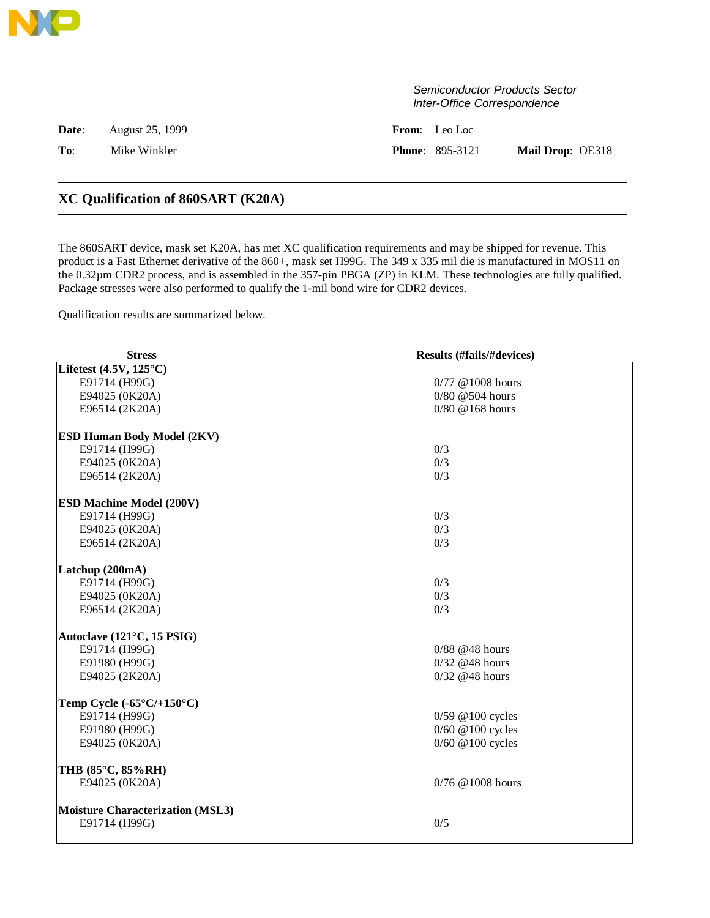|       |                 | Semiconductor Products Sector<br>Inter-Office Correspondence |
|-------|-----------------|--------------------------------------------------------------|
| Date: | August 25, 1999 | <b>From:</b> Leo Loc                                         |
| To:   | Mike Winkler    | Mail Drop: OE318<br><b>Phone: 895-3121</b>                   |
|       |                 |                                                              |

## **XC Qualification of 860SART (K20A)**

The 860SART device, mask set K20A, has met XC qualification requirements and may be shipped for revenue. This product is a Fast Ethernet derivative of the 860+, mask set H99G. The 349 x 335 mil die is manufactured in MOS11 on the 0.32µm CDR2 process, and is assembled in the 357-pin PBGA (ZP) in KLM. These technologies are fully qualified. Package stresses were also performed to qualify the 1-mil bond wire for CDR2 devices.

Qualification results are summarized below.

| <b>Stress</b>                             | <b>Results (#fails/#devices)</b> |
|-------------------------------------------|----------------------------------|
| Lifetest $(4.5V, 125^{\circ}C)$           |                                  |
| E91714 (H99G)                             | $0/77$ @ 1008 hours              |
| E94025 (0K20A)                            | $0/80$ @ 504 hours               |
| E96514 (2K20A)                            | $0/80 \ @$ 168 hours             |
| <b>ESD Human Body Model (2KV)</b>         |                                  |
| E91714 (H99G)                             | 0/3                              |
| E94025 (0K20A)                            | 0/3                              |
| E96514 (2K20A)                            | 0/3                              |
| <b>ESD Machine Model (200V)</b>           |                                  |
| E91714 (H99G)                             | 0/3                              |
| E94025 (0K20A)                            | 0/3                              |
| E96514 (2K20A)                            | 0/3                              |
| Latchup (200mA)                           |                                  |
| E91714 (H99G)                             | 0/3                              |
| E94025 (0K20A)                            | 0/3                              |
| E96514 (2K20A)                            | 0/3                              |
| Autoclave (121°C, 15 PSIG)                |                                  |
| E91714 (H99G)                             | $0/88$ @48 hours                 |
| E91980 (H99G)                             | $0/32$ @48 hours                 |
| E94025 (2K20A)                            | $0/32$ @48 hours                 |
| Temp Cycle $(-65^{\circ}C/+150^{\circ}C)$ |                                  |
| E91714 (H99G)                             | $0/59$ @ 100 cycles              |
| E91980 (H99G)                             | 0/60 @100 cycles                 |
| E94025 (0K20A)                            | 0/60 @100 cycles                 |
| THB (85°C, 85%RH)                         |                                  |
| E94025 (0K20A)                            | 0/76 @1008 hours                 |
| <b>Moisture Characterization (MSL3)</b>   |                                  |
| E91714 (H99G)                             | 0/5                              |